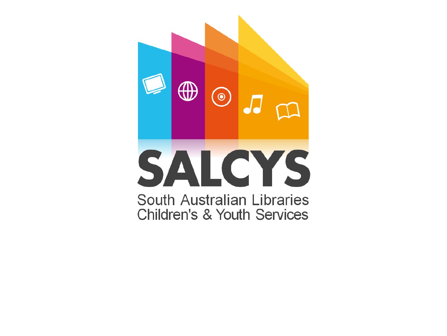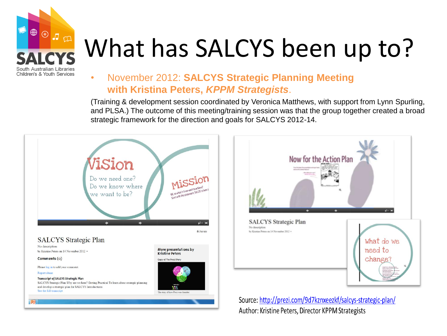

# What has SALCYS been up to?

### • November 2012: **SALCYS Strategic Planning Meeting with Kristina Peters,** *KPPM Strategists*.

(Training & development session coordinated by Veronica Matthews, with support from Lynn Spurling, and PLSA.) The outcome of this meeting/training session was that the group together created a broad strategic framework for the direction and goals for SALCYS 2012-14.





Source: http://prezi.com/9d7kznxeezkf/salcys-strategic-plan/ Author: Kristine Peters, Director KPPM Strategists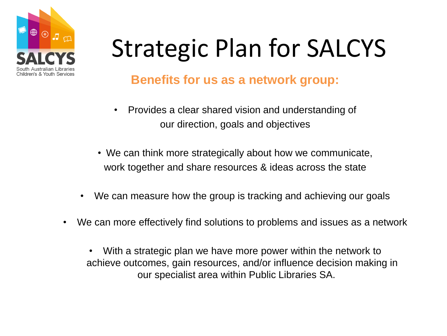

# Strategic Plan for SALCYS

### **Benefits for us as a network group:**

- Provides a clear shared vision and understanding of our direction, goals and objectives
- We can think more strategically about how we communicate, work together and share resources & ideas across the state
- We can measure how the group is tracking and achieving our goals
- We can more effectively find solutions to problems and issues as a network
	- With a strategic plan we have more power within the network to achieve outcomes, gain resources, and/or influence decision making in our specialist area within Public Libraries SA.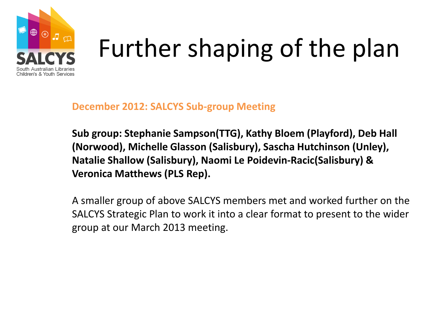

# Further shaping of the plan

**December 2012: SALCYS Sub-group Meeting**

**Sub group: Stephanie Sampson(TTG), Kathy Bloem (Playford), Deb Hall (Norwood), Michelle Glasson (Salisbury), Sascha Hutchinson (Unley), Natalie Shallow (Salisbury), Naomi Le Poidevin-Racic(Salisbury) & Veronica Matthews (PLS Rep).**

A smaller group of above SALCYS members met and worked further on the SALCYS Strategic Plan to work it into a clear format to present to the wider group at our March 2013 meeting.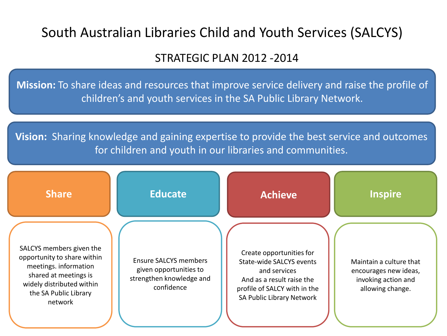### South Australian Libraries Child and Youth Services (SALCYS)

### STRATEGIC PLAN 2012 -2014

**Mission:** To share ideas and resources that improve service delivery and raise the profile of children's and youth services in the SA Public Library Network.

**Vision:** Sharing knowledge and gaining expertise to provide the best service and outcomes for children and youth in our libraries and communities.

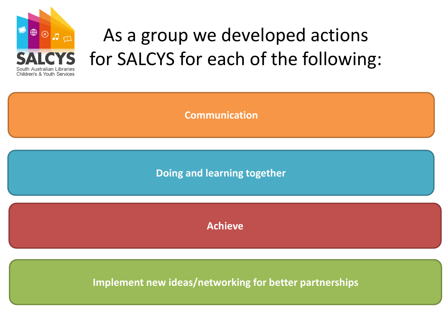

## As a group we developed actions for SALCYS for each of the following:

**Communication**

**Doing and learning together**

**Achieve**

**Implement new ideas/networking for better partnerships**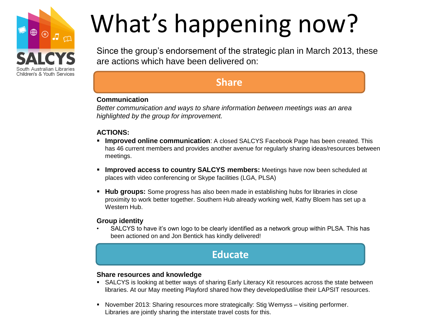

# What's happening now?

Since the group's endorsement of the strategic plan in March 2013, these are actions which have been delivered on:

### **Share**

#### **Communication**

*Better communication and ways to share information between meetings was an area highlighted by the group for improvement.* 

#### **ACTIONS:**

- **Improved online communication**: A closed SALCYS Facebook Page has been created. This has 46 current members and provides another avenue for regularly sharing ideas/resources between meetings.
- **Improved access to country SALCYS members:** Meetings have now been scheduled at places with video conferencing or Skype facilities (LGA, PLSA)
- **Hub groups:** Some progress has also been made in establishing hubs for libraries in close proximity to work better together. Southern Hub already working well, Kathy Bloem has set up a Western Hub.

#### **Group identity**

• SALCYS to have it's own logo to be clearly identified as a network group within PLSA. This has been actioned on and Jon Bentick has kindly delivered!

### **Educate**

#### **Share resources and knowledge**

- SALCYS is looking at better ways of sharing Early Literacy Kit resources across the state between libraries. At our May meeting Playford shared how they developed/utilise their LAPSIT resources.
- **November 2013: Sharing resources more strategically: Stig Wemyss visiting performer.** Libraries are jointly sharing the interstate travel costs for this.